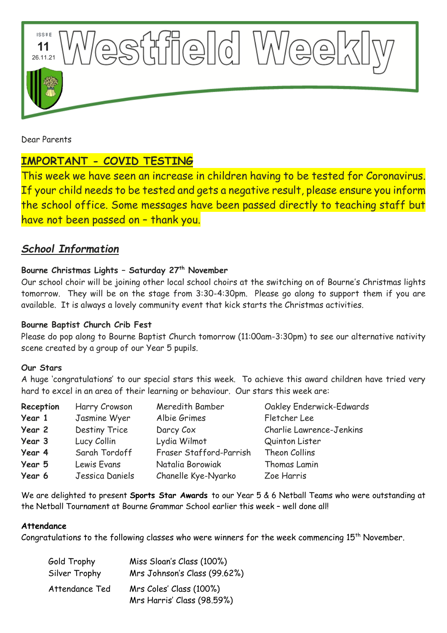

Dear Parents

# **IMPORTANT - COVID TESTING**

This week we have seen an increase in children having to be tested for Coronavirus. If your child needs to be tested and gets a negative result, please ensure you inform the school office. Some messages have been passed directly to teaching staff but have not been passed on – thank you.

## *School Information*

## **Bourne Christmas Lights – Saturday 27th November**

Our school choir will be joining other local school choirs at the switching on of Bourne's Christmas lights tomorrow. They will be on the stage from 3:30-4:30pm. Please go along to support them if you are available. It is always a lovely community event that kick starts the Christmas activities.

#### **Bourne Baptist Church Crib Fest**

Please do pop along to Bourne Baptist Church tomorrow (11:00am-3:30pm) to see our alternative nativity scene created by a group of our Year 5 pupils.

#### **Our Stars**

A huge 'congratulations' to our special stars this week. To achieve this award children have tried very hard to excel in an area of their learning or behaviour. Our stars this week are:

| Reception | Harry Crowson   | Meredith Bamber         | Oakley Enderwick-Edwards |
|-----------|-----------------|-------------------------|--------------------------|
| Year 1    | Jasmine Wyer    | Albie Grimes            | Fletcher Lee             |
| Year 2    | Destiny Trice   | Darcy Cox               | Charlie Lawrence-Jenkins |
| Year 3    | Lucy Collin     | Lydia Wilmot            | Quinton Lister           |
| Year 4    | Sarah Tordoff   | Fraser Stafford-Parrish | Theon Collins            |
| Year 5    | Lewis Evans     | Natalia Borowiak        | Thomas Lamin             |
| Year 6    | Jessica Daniels | Chanelle Kye-Nyarko     | Zoe Harris               |

We are delighted to present **Sports Star Awards** to our Year 5 & 6 Netball Teams who were outstanding at the Netball Tournament at Bourne Grammar School earlier this week – well done all!

#### **Attendance**

Congratulations to the following classes who were winners for the week commencing  $15<sup>th</sup>$  November.

| Gold Trophy    | Miss Sloan's Class (100%)    |  |
|----------------|------------------------------|--|
| Silver Trophy  | Mrs Johnson's Class (99.62%) |  |
| Attendance Ted | Mrs Coles' Class (100%)      |  |
|                | Mrs Harris' Class (98.59%)   |  |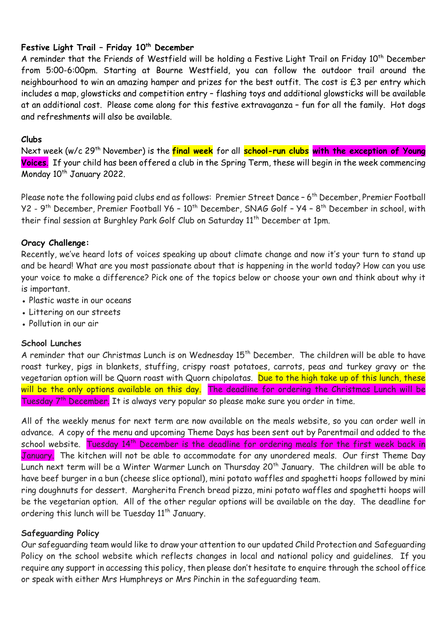## **Festive Light Trail – Friday 10th December**

A reminder that the Friends of Westfield will be holding a Festive Light Trail on Friday 10<sup>th</sup> December from 5:00-6:00pm. Starting at Bourne Westfield, you can follow the outdoor trail around the neighbourhood to win an amazing hamper and prizes for the best outfit. The cost is £3 per entry which includes a map, glowsticks and competition entry – flashing toys and additional glowsticks will be available at an additional cost. Please come along for this festive extravaganza – fun for all the family. Hot dogs and refreshments will also be available.

#### **Clubs**

Next week (w/c 29 th November) is the **final week** for all **school-run clubs with the exception of Young Voices**. If your child has been offered a club in the Spring Term, these will begin in the week commencing Monday 10<sup>th</sup> January 2022.

Please note the following paid clubs end as follows: Premier Street Dance – 6<sup>th</sup> December, Premier Football Y2 - 9<sup>th</sup> December, Premier Football Y6 - 10<sup>th</sup> December, SNAG Golf - Y4 - 8<sup>th</sup> December in school, with their final session at Burghley Park Golf Club on Saturday 11th December at 1pm.

## **Oracy Challenge:**

Recently, we've heard lots of voices speaking up about climate change and now it's your turn to stand up and be heard! What are you most passionate about that is happening in the world today? How can you use your voice to make a difference? Pick one of the topics below or choose your own and think about why it is important.

- Plastic waste in our oceans
- Littering on our streets
- Pollution in our air

#### **School Lunches**

A reminder that our Christmas Lunch is on Wednesday 15<sup>th</sup> December. The children will be able to have roast turkey, pigs in blankets, stuffing, crispy roast potatoes, carrots, peas and turkey gravy or the vegetarian option will be Quorn roast with Quorn chipolatas. Due to the high take up of this lunch, these will be the only options available on this day. The deadline for ordering the Christmas Lunch will be Tuesday 7<sup>th</sup> December. It is always very popular so please make sure you order in time.

All of the weekly menus for next term are now available on the meals website, so you can order well in advance. A copy of the menu and upcoming Theme Days has been sent out by Parentmail and added to the school website. Tuesday 14<sup>th</sup> December is the deadline for ordering meals for the first week back in January. The kitchen will not be able to accommodate for any unordered meals. Our first Theme Day Lunch next term will be a Winter Warmer Lunch on Thursday 20<sup>th</sup> January. The children will be able to have beef burger in a bun (cheese slice optional), mini potato waffles and spaghetti hoops followed by mini ring doughnuts for dessert. Margherita French bread pizza, mini potato waffles and spaghetti hoops will be the vegetarian option. All of the other regular options will be available on the day. The deadline for ordering this lunch will be Tuesday 11<sup>th</sup> January.

#### **Safeguarding Policy**

Our safeguarding team would like to draw your attention to our updated Child Protection and Safeguarding Policy on the school website which reflects changes in local and national policy and guidelines. If you require any support in accessing this policy, then please don't hesitate to enquire through the school office or speak with either Mrs Humphreys or Mrs Pinchin in the safeguarding team.